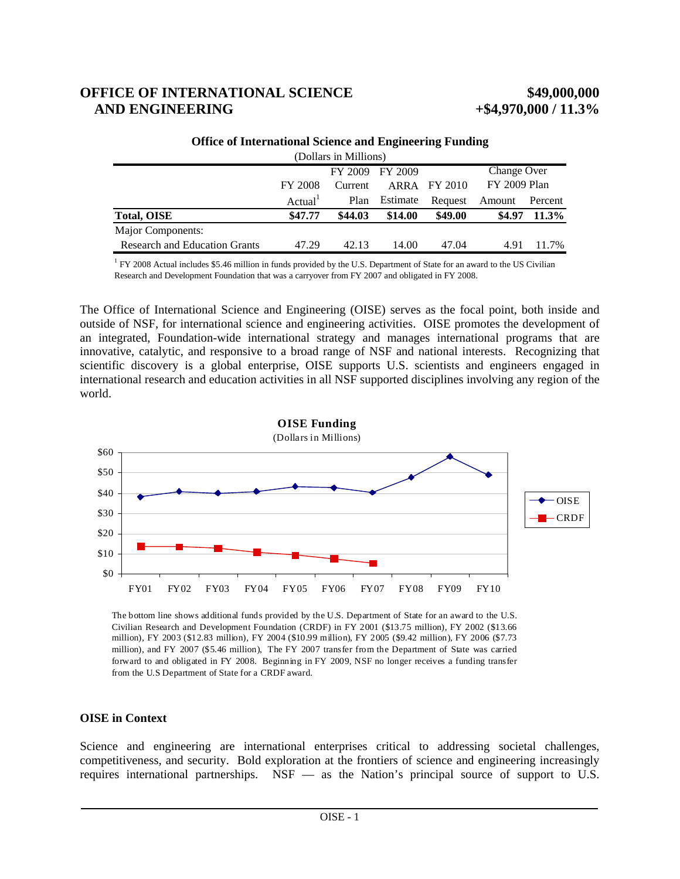# **OFFICE OF INTERNATIONAL SCIENCE \$49,000,000 AND ENGINEERING**  $+$  **\$4,970,000 / 11.3%**

|                                      | Change Over<br>FY 2009 FY 2009 |         |          |              |              |          |  |
|--------------------------------------|--------------------------------|---------|----------|--------------|--------------|----------|--|
|                                      | FY 2008                        | Current |          | ARRA FY 2010 | FY 2009 Plan |          |  |
|                                      | Actual <sup>1</sup>            | Plan    | Estimate | Request      | Amount       | Percent  |  |
| <b>Total, OISE</b>                   | \$47.77                        | \$44.03 | \$14.00  | \$49.00      | \$4.97       | $11.3\%$ |  |
| Major Components:                    |                                |         |          |              |              |          |  |
| <b>Research and Education Grants</b> | 47.29                          | 42.13   | 14.00    | 47.04        | 4.91         | 11.7%    |  |

**Office of International Science and Engineering Funding** (Dollars in Millions)

<sup>1</sup> FY 2008 Actual includes \$5.46 million in funds provided by the U.S. Department of State for an award to the US Civilian Research and Development Foundation that was a carryover from FY 2007 and obligated in FY 2008.

The Office of International Science and Engineering (OISE) serves as the focal point, both inside and outside of NSF, for international science and engineering activities. OISE promotes the development of an integrated, Foundation-wide international strategy and manages international programs that are innovative, catalytic, and responsive to a broad range of NSF and national interests. Recognizing that scientific discovery is a global enterprise, OISE supports U.S. scientists and engineers engaged in international research and education activities in all NSF supported disciplines involving any region of the world.



The bottom line shows additional funds provided by the U.S. Department of State for an award to the U.S. Civilian Research and Development Foundation (CRDF) in FY 2001 (\$13.75 million), FY 2002 (\$13.66 million), FY 2003 (\$12.83 million), FY 2004 (\$10.99 million), FY 2005 (\$9.42 million), FY 2006 (\$7.73 million), and FY 2007 (\$5.46 million), The FY 2007 transfer from the Department of State was carried forward to and obligated in FY 2008. Beginning in FY 2009, NSF no longer receives a funding transfer from the U.S Department of State for a CRDF award.

# **OISE in Context**

Science and engineering are international enterprises critical to addressing societal challenges, competitiveness, and security. Bold exploration at the frontiers of science and engineering increasingly requires international partnerships. NSF — as the Nation's principal source of support to U.S.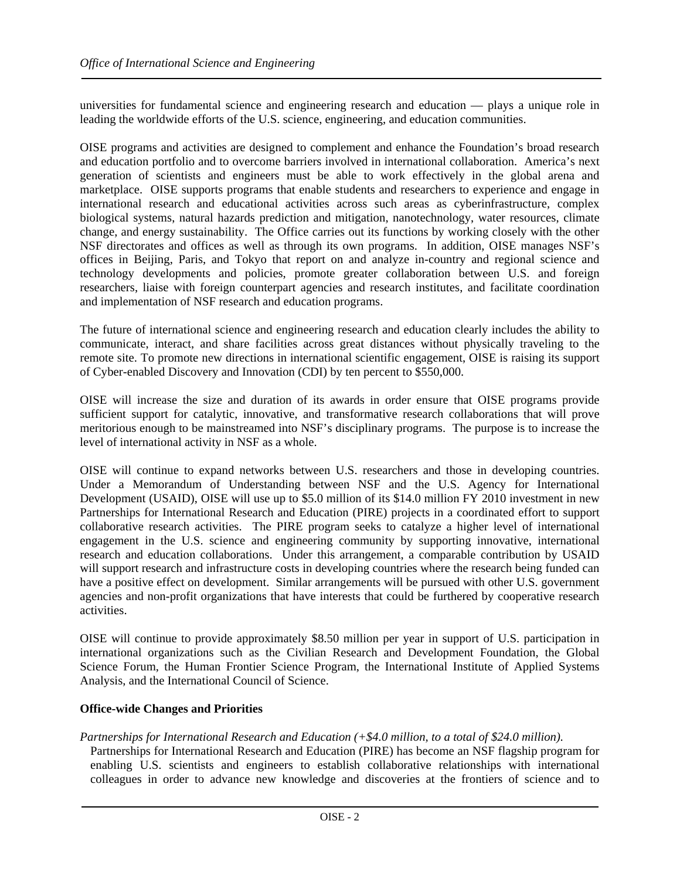universities for fundamental science and engineering research and education — plays a unique role in leading the worldwide efforts of the U.S. science, engineering, and education communities.

OISE programs and activities are designed to complement and enhance the Foundation's broad research and education portfolio and to overcome barriers involved in international collaboration. America's next generation of scientists and engineers must be able to work effectively in the global arena and marketplace. OISE supports programs that enable students and researchers to experience and engage in international research and educational activities across such areas as cyberinfrastructure, complex biological systems, natural hazards prediction and mitigation, nanotechnology, water resources, climate change, and energy sustainability. The Office carries out its functions by working closely with the other NSF directorates and offices as well as through its own programs. In addition, OISE manages NSF's offices in Beijing, Paris, and Tokyo that report on and analyze in-country and regional science and technology developments and policies, promote greater collaboration between U.S. and foreign researchers, liaise with foreign counterpart agencies and research institutes, and facilitate coordination and implementation of NSF research and education programs.

The future of international science and engineering research and education clearly includes the ability to communicate, interact, and share facilities across great distances without physically traveling to the remote site. To promote new directions in international scientific engagement, OISE is raising its support of Cyber-enabled Discovery and Innovation (CDI) by ten percent to \$550,000.

OISE will increase the size and duration of its awards in order ensure that OISE programs provide sufficient support for catalytic, innovative, and transformative research collaborations that will prove meritorious enough to be mainstreamed into NSF's disciplinary programs. The purpose is to increase the level of international activity in NSF as a whole.

OISE will continue to expand networks between U.S. researchers and those in developing countries. Under a Memorandum of Understanding between NSF and the U.S. Agency for International Development (USAID), OISE will use up to \$5.0 million of its \$14.0 million FY 2010 investment in new Partnerships for International Research and Education (PIRE) projects in a coordinated effort to support collaborative research activities. The PIRE program seeks to catalyze a higher level of international engagement in the U.S. science and engineering community by supporting innovative, international research and education collaborations. Under this arrangement, a comparable contribution by USAID will support research and infrastructure costs in developing countries where the research being funded can have a positive effect on development. Similar arrangements will be pursued with other U.S. government agencies and non-profit organizations that have interests that could be furthered by cooperative research activities.

OISE will continue to provide approximately \$8.50 million per year in support of U.S. participation in international organizations such as the Civilian Research and Development Foundation, the Global Science Forum, the Human Frontier Science Program, the International Institute of Applied Systems Analysis, and the International Council of Science.

# **Office-wide Changes and Priorities**

# *Partnerships for International Research and Education (+\$4.0 million, to a total of \$24.0 million).*

Partnerships for International Research and Education (PIRE) has become an NSF flagship program for enabling U.S. scientists and engineers to establish collaborative relationships with international colleagues in order to advance new knowledge and discoveries at the frontiers of science and to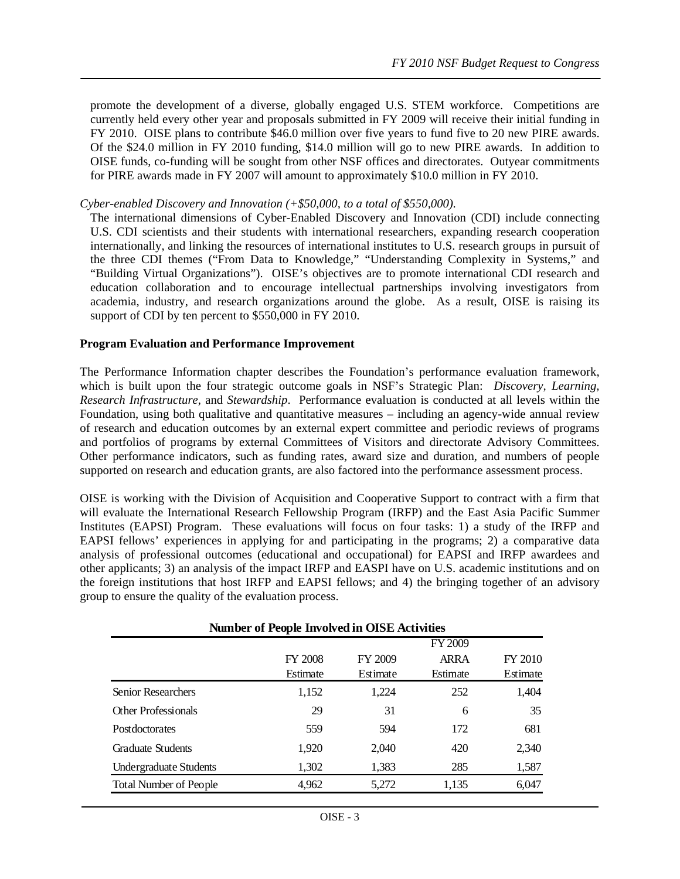promote the development of a diverse, globally engaged U.S. STEM workforce. Competitions are currently held every other year and proposals submitted in FY 2009 will receive their initial funding in FY 2010. OISE plans to contribute \$46.0 million over five years to fund five to 20 new PIRE awards. Of the \$24.0 million in FY 2010 funding, \$14.0 million will go to new PIRE awards. In addition to OISE funds, co-funding will be sought from other NSF offices and directorates. Outyear commitments for PIRE awards made in FY 2007 will amount to approximately \$10.0 million in FY 2010.

# *Cyber-enabled Discovery and Innovation (+\$50,000, to a total of \$550,000).*

The international dimensions of Cyber-Enabled Discovery and Innovation (CDI) include connecting U.S. CDI scientists and their students with international researchers, expanding research cooperation internationally, and linking the resources of international institutes to U.S. research groups in pursuit of the three CDI themes ("From Data to Knowledge," "Understanding Complexity in Systems," and "Building Virtual Organizations"). OISE's objectives are to promote international CDI research and education collaboration and to encourage intellectual partnerships involving investigators from academia, industry, and research organizations around the globe. As a result, OISE is raising its support of CDI by ten percent to \$550,000 in FY 2010.

# **Program Evaluation and Performance Improvement**

The Performance Information chapter describes the Foundation's performance evaluation framework, which is built upon the four strategic outcome goals in NSF's Strategic Plan: *Discovery, Learning, Research Infrastructure*, and *Stewardship*. Performance evaluation is conducted at all levels within the Foundation, using both qualitative and quantitative measures – including an agency-wide annual review of research and education outcomes by an external expert committee and periodic reviews of programs and portfolios of programs by external Committees of Visitors and directorate Advisory Committees. Other performance indicators, such as funding rates, award size and duration, and numbers of people supported on research and education grants, are also factored into the performance assessment process.

OISE is working with the Division of Acquisition and Cooperative Support to contract with a firm that will evaluate the International Research Fellowship Program (IRFP) and the East Asia Pacific Summer Institutes (EAPSI) Program. These evaluations will focus on four tasks: 1) a study of the IRFP and EAPSI fellows' experiences in applying for and participating in the programs; 2) a comparative data analysis of professional outcomes (educational and occupational) for EAPSI and IRFP awardees and other applicants; 3) an analysis of the impact IRFP and EASPI have on U.S. academic institutions and on the foreign institutions that host IRFP and EAPSI fellows; and 4) the bringing together of an advisory group to ensure the quality of the evaluation process.

| <b>Number of People Involved in OISE Activities</b> |                     |                     |                         |                     |  |  |  |
|-----------------------------------------------------|---------------------|---------------------|-------------------------|---------------------|--|--|--|
|                                                     |                     | FY 2009             |                         |                     |  |  |  |
|                                                     | FY 2008<br>Estimate | FY 2009<br>Estimate | <b>ARRA</b><br>Estimate | FY 2010<br>Estimate |  |  |  |
| <b>Senior Researchers</b>                           | 1,152               | 1,224               | 252                     | 1,404               |  |  |  |
| Other Professionals                                 | 29                  | 31                  | 6                       | 35                  |  |  |  |
| Postdoctorates                                      | 559                 | 594                 | 172                     | 681                 |  |  |  |
| <b>Graduate Students</b>                            | 1,920               | 2,040               | 420                     | 2,340               |  |  |  |
| Undergraduate Students                              | 1,302               | 1,383               | 285                     | 1,587               |  |  |  |
| <b>Total Number of People</b>                       | 4,962               | 5,272               | 1,135                   | 6,047               |  |  |  |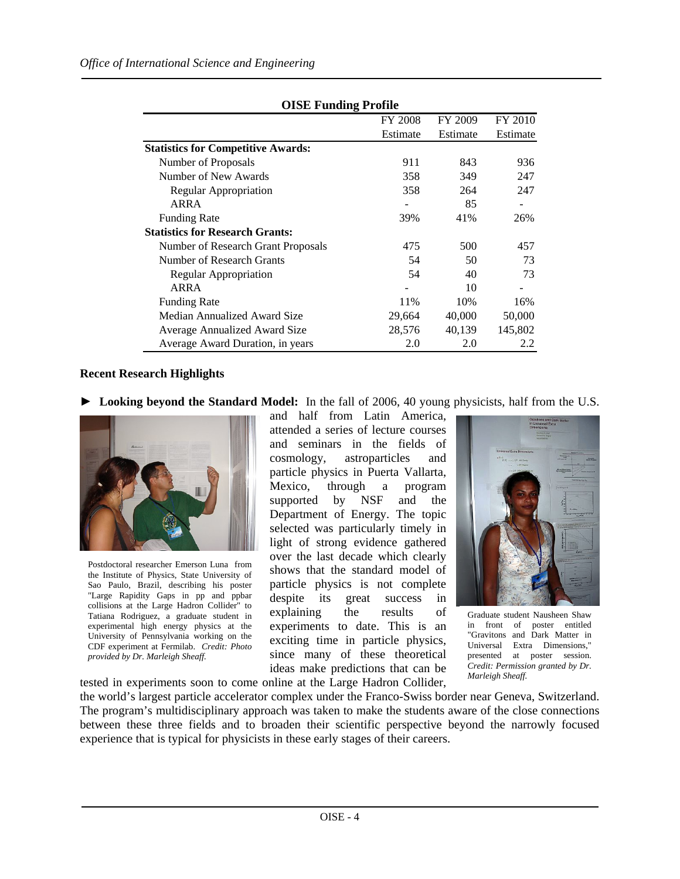| <b>OISE Funding Profile</b>               |                |          |          |  |  |  |
|-------------------------------------------|----------------|----------|----------|--|--|--|
|                                           | <b>FY 2008</b> | FY 2009  | FY 2010  |  |  |  |
|                                           | Estimate       | Estimate | Estimate |  |  |  |
| <b>Statistics for Competitive Awards:</b> |                |          |          |  |  |  |
| Number of Proposals                       | 911            | 843      | 936      |  |  |  |
| Number of New Awards                      | 358            | 349      | 247      |  |  |  |
| Regular Appropriation                     | 358            | 264      | 247      |  |  |  |
| ARRA                                      |                | 85       |          |  |  |  |
| <b>Funding Rate</b>                       | 39%            | 41%      | 26%      |  |  |  |
| <b>Statistics for Research Grants:</b>    |                |          |          |  |  |  |
| Number of Research Grant Proposals        | 475            | 500      | 457      |  |  |  |
| Number of Research Grants                 | 54             | 50       | 73       |  |  |  |
| <b>Regular Appropriation</b>              | 54             | 40       | 73       |  |  |  |
| ARRA                                      |                | 10       |          |  |  |  |
| <b>Funding Rate</b>                       | 11%            | 10%      | 16%      |  |  |  |
| Median Annualized Award Size              | 29,664         | 40,000   | 50,000   |  |  |  |
| <b>Average Annualized Award Size</b>      | 28,576         | 40,139   | 145,802  |  |  |  |
| Average Award Duration, in years          | 2.0            | 2.0      | 2.2      |  |  |  |

# **OISE Funding Profile**

# **Recent Research Highlights**

**► Looking beyond the Standard Model:** In the fall of 2006, 40 young physicists, half from the U.S.



Postdoctoral researcher Emerson Luna from the Institute of Physics, State University of Sao Paulo, Brazil, describing his poster "Large Rapidity Gaps in pp and ppbar collisions at the Large Hadron Collider" to Tatiana Rodriguez, a graduate student in experimental high energy physics at the University of Pennsylvania working on the CDF experiment at Fermilab. *Credit: Photo provided by Dr. Marleigh Sheaff.* 

and half from Latin America, attended a series of lecture courses and seminars in the fields of cosmology, astroparticles and particle physics in Puerta Vallarta, Mexico, through a program supported by NSF and the Department of Energy. The topic selected was particularly timely in light of strong evidence gathered over the last decade which clearly shows that the standard model of particle physics is not complete despite its great success in explaining the results of experiments to date. This is an exciting time in particle physics, since many of these theoretical ideas make predictions that can be tested in experiments soon to come online at the Large Hadron Collider,



Graduate student Nausheen Shaw in front of poster entitled "Gravitons and Dark Matter in Universal Extra Dimensions," presented at poster session. *Credit: Permission granted by Dr. Marleigh Sheaff.* 

the world's largest particle accelerator complex under the Franco-Swiss border near Geneva, Switzerland. The program's multidisciplinary approach was taken to make the students aware of the close connections between these three fields and to broaden their scientific perspective beyond the narrowly focused experience that is typical for physicists in these early stages of their careers.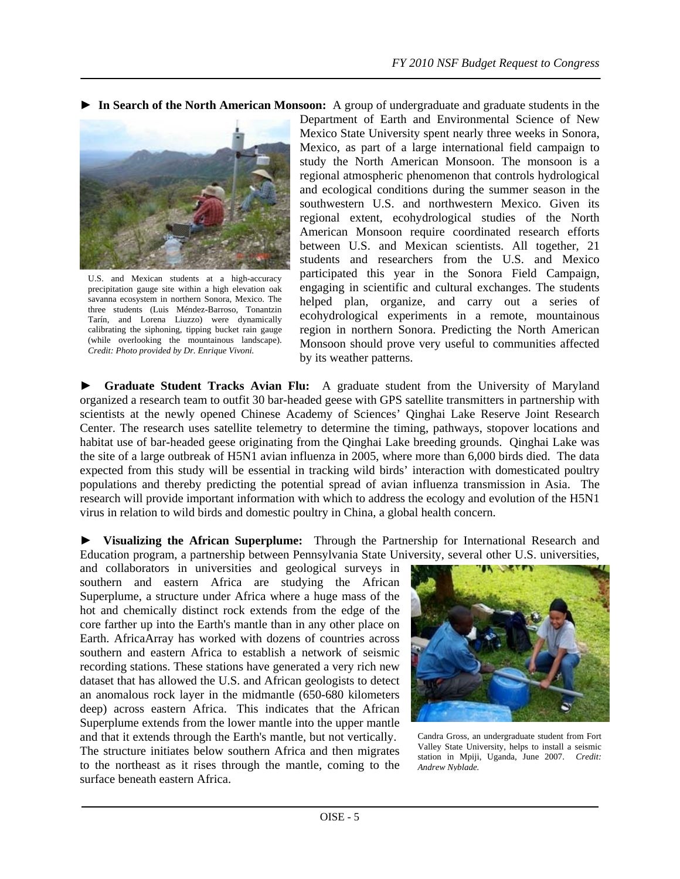**► In Search of the North American Monsoon:** A group of undergraduate and graduate students in the



U.S. and Mexican students at a high-accuracy precipitation gauge site within a high elevation oak savanna ecosystem in northern Sonora, Mexico. The three students (Luis Méndez-Barroso, Tonantzin Tarín, and Lorena Liuzzo) were dynamically calibrating the siphoning, tipping bucket rain gauge (while overlooking the mountainous landscape). *Credit: Photo provided by Dr. Enrique Vivoni.*

Department of Earth and Environmental Science of New Mexico State University spent nearly three weeks in Sonora, Mexico, as part of a large international field campaign to study the North American Monsoon. The monsoon is a regional atmospheric phenomenon that controls hydrological and ecological conditions during the summer season in the southwestern U.S. and northwestern Mexico. Given its regional extent, ecohydrological studies of the North American Monsoon require coordinated research efforts between U.S. and Mexican scientists. All together, 21 students and researchers from the U.S. and Mexico participated this year in the Sonora Field Campaign, engaging in scientific and cultural exchanges. The students helped plan, organize, and carry out a series of ecohydrological experiments in a remote, mountainous region in northern Sonora. Predicting the North American Monsoon should prove very useful to communities affected by its weather patterns.

**► Graduate Student Tracks Avian Flu:** A graduate student from the University of Maryland organized a research team to outfit 30 bar-headed geese with GPS satellite transmitters in partnership with scientists at the newly opened Chinese Academy of Sciences' Qinghai Lake Reserve Joint Research Center. The research uses satellite telemetry to determine the timing, pathways, stopover locations and habitat use of bar-headed geese originating from the Qinghai Lake breeding grounds. Qinghai Lake was the site of a large outbreak of H5N1 avian influenza in 2005, where more than 6,000 birds died. The data expected from this study will be essential in tracking wild birds' interaction with domesticated poultry populations and thereby predicting the potential spread of avian influenza transmission in Asia. The research will provide important information with which to address the ecology and evolution of the H5N1 virus in relation to wild birds and domestic poultry in China, a global health concern.

**► Visualizing the African Superplume:** Through the Partnership for International Research and Education program, a partnership between Pennsylvania State University, several other U.S. universities,

and collaborators in universities and geological surveys in southern and eastern Africa are studying the African Superplume, a structure under Africa where a huge mass of the hot and chemically distinct rock extends from the edge of the core farther up into the Earth's mantle than in any other place on Earth. AfricaArray has worked with dozens of countries across southern and eastern Africa to establish a network of seismic recording stations. These stations have generated a very rich new dataset that has allowed the U.S. and African geologists to detect an anomalous rock layer in the midmantle (650-680 kilometers deep) across eastern Africa. This indicates that the African Superplume extends from the lower mantle into the upper mantle and that it extends through the Earth's mantle, but not vertically. The structure initiates below southern Africa and then migrates to the northeast as it rises through the mantle, coming to the surface beneath eastern Africa.



Candra Gross, an undergraduate student from Fort Valley State University, helps to install a seismic station in Mpiji, Uganda, June 2007. *Credit: Andrew Nyblade.*